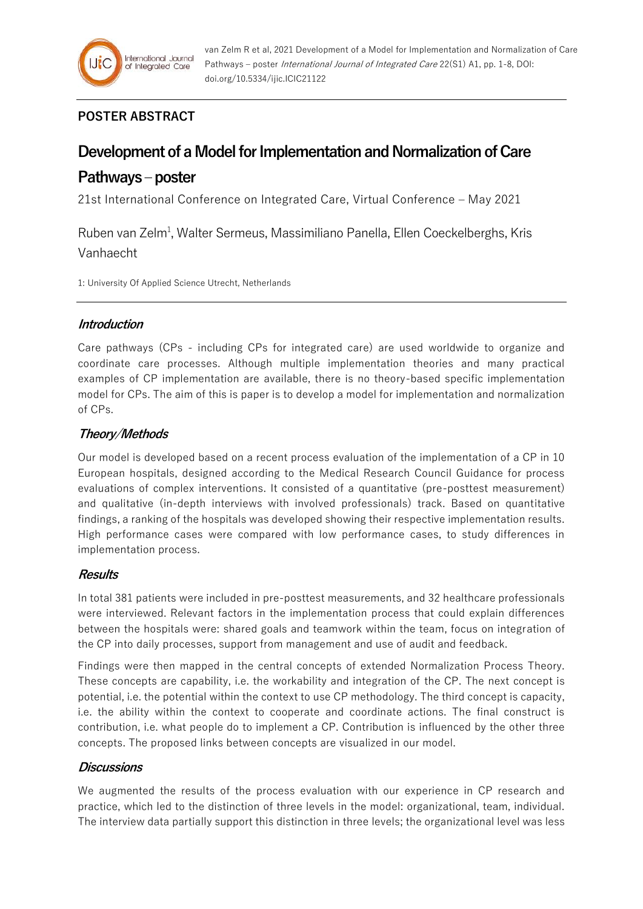## **POSTER ABSTRACT**

# **Development of a Model for Implementation and Normalization of Care**

## **Pathways –poster**

21st International Conference on Integrated Care, Virtual Conference – May 2021

Ruben van Zelm<sup>1</sup>, Walter Sermeus, Massimiliano Panella, Ellen Coeckelberghs, Kris Vanhaecht

1: University Of Applied Science Utrecht, Netherlands

## **Introduction**

Care pathways (CPs - including CPs for integrated care) are used worldwide to organize and coordinate care processes. Although multiple implementation theories and many practical examples of CP implementation are available, there is no theory-based specific implementation model for CPs. The aim of this is paper is to develop a model for implementation and normalization of CPs.

## **Theory/Methods**

Our model is developed based on a recent process evaluation of the implementation of a CP in 10 European hospitals, designed according to the Medical Research Council Guidance for process evaluations of complex interventions. It consisted of a quantitative (pre-posttest measurement) and qualitative (in-depth interviews with involved professionals) track. Based on quantitative findings, a ranking of the hospitals was developed showing their respective implementation results. High performance cases were compared with low performance cases, to study differences in implementation process.

### **Results**

In total 381 patients were included in pre-posttest measurements, and 32 healthcare professionals were interviewed. Relevant factors in the implementation process that could explain differences between the hospitals were: shared goals and teamwork within the team, focus on integration of the CP into daily processes, support from management and use of audit and feedback.

Findings were then mapped in the central concepts of extended Normalization Process Theory. These concepts are capability, i.e. the workability and integration of the CP. The next concept is potential, i.e. the potential within the context to use CP methodology. The third concept is capacity, i.e. the ability within the context to cooperate and coordinate actions. The final construct is contribution, i.e. what people do to implement a CP. Contribution is influenced by the other three concepts. The proposed links between concepts are visualized in our model.

### **Discussions**

We augmented the results of the process evaluation with our experience in CP research and practice, which led to the distinction of three levels in the model: organizational, team, individual. The interview data partially support this distinction in three levels; the organizational level was less